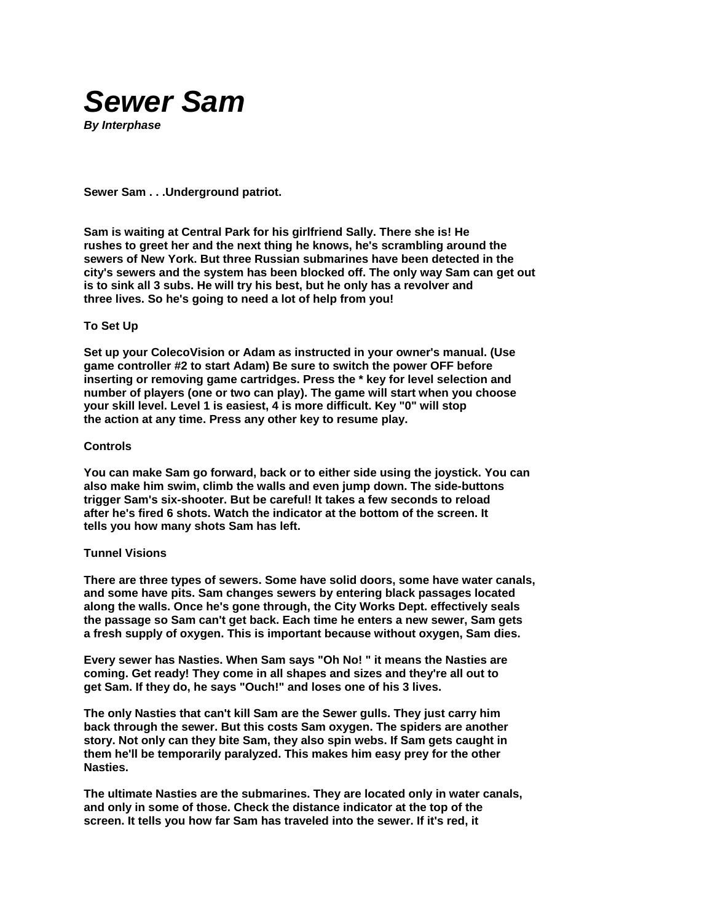

**Sewer Sam . . .Underground patriot.** 

**Sam is waiting at Central Park for his girlfriend Sally. There she is! He rushes to greet her and the next thing he knows, he's scrambling around the sewers of New York. But three Russian submarines have been detected in the city's sewers and the system has been blocked off. The only way Sam can get out is to sink all 3 subs. He will try his best, but he only has a revolver and three lives. So he's going to need a lot of help from you!** 

## **To Set Up**

**Set up your ColecoVision or Adam as instructed in your owner's manual. (Use game controller #2 to start Adam) Be sure to switch the power OFF before inserting or removing game cartridges. Press the \* key for level selection and number of players (one or two can play). The game will start when you choose your skill level. Level 1 is easiest, 4 is more difficult. Key "0" will stop the action at any time. Press any other key to resume play.** 

## **Controls**

**You can make Sam go forward, back or to either side using the joystick. You can also make him swim, climb the walls and even jump down. The side-buttons trigger Sam's six-shooter. But be careful! It takes a few seconds to reload after he's fired 6 shots. Watch the indicator at the bottom of the screen. It tells you how many shots Sam has left.** 

## **Tunnel Visions**

**There are three types of sewers. Some have solid doors, some have water canals, and some have pits. Sam changes sewers by entering black passages located along the walls. Once he's gone through, the City Works Dept. effectively seals the passage so Sam can't get back. Each time he enters a new sewer, Sam gets a fresh supply of oxygen. This is important because without oxygen, Sam dies.** 

**Every sewer has Nasties. When Sam says "Oh No! " it means the Nasties are coming. Get ready! They come in all shapes and sizes and they're all out to get Sam. If they do, he says "Ouch!" and loses one of his 3 lives.** 

**The only Nasties that can't kill Sam are the Sewer gulls. They just carry him back through the sewer. But this costs Sam oxygen. The spiders are another story. Not only can they bite Sam, they also spin webs. If Sam gets caught in them he'll be temporarily paralyzed. This makes him easy prey for the other Nasties.** 

**The ultimate Nasties are the submarines. They are located only in water canals, and only in some of those. Check the distance indicator at the top of the screen. It tells you how far Sam has traveled into the sewer. If it's red, it**